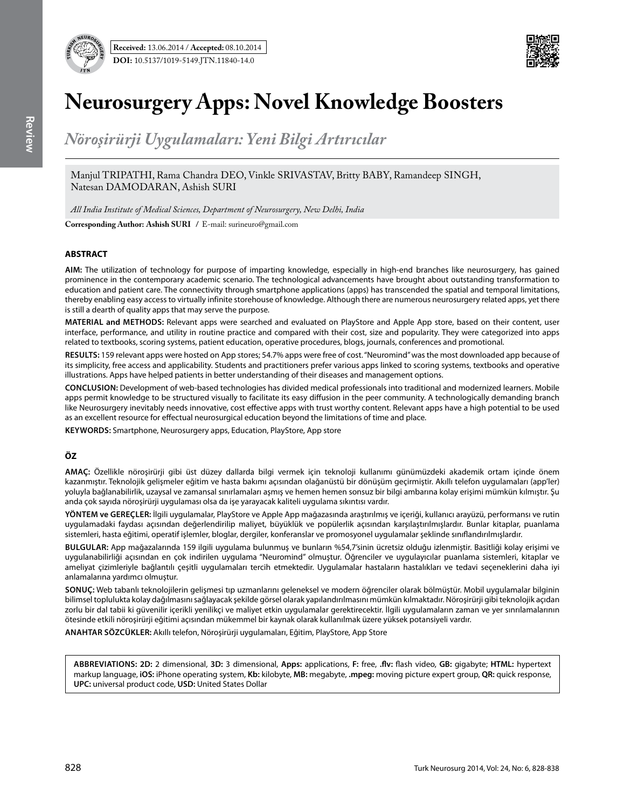



# **Neurosurgery Apps: Novel Knowledge Boosters**

*Nöroşirürji Uygulamaları: Yeni Bilgi Artırıcılar*

Manjul TRIPATHI, Rama Chandra DEO, Vinkle SRIVASTAV, Britty BABY, Ramandeep SINGH, Natesan DAMODARAN, Ashish SURI

*All India Institute of Medical Sciences, Department of Neurosurgery, New Delhi, India*

**Corresponding Author: Ashish SURI** / E-mail: surineuro@gmail.com

# **ABSTRACT**

**AIm:** The utilization of technology for purpose of imparting knowledge, especially in high-end branches like neurosurgery, has gained prominence in the contemporary academic scenario. The technological advancements have brought about outstanding transformation to education and patient care. The connectivity through smartphone applications (apps) has transcended the spatial and temporal limitations, thereby enabling easy access to virtually infinite storehouse of knowledge. Although there are numerous neurosurgery related apps, yet there is still a dearth of quality apps that may serve the purpose.

**MaterIal and Methods:** Relevant apps were searched and evaluated on PlayStore and Apple App store, based on their content, user interface, performance, and utility in routine practice and compared with their cost, size and popularity. They were categorized into apps related to textbooks, scoring systems, patient education, operative procedures, blogs, journals, conferences and promotional.

**Results:** 159 relevant apps were hosted on App stores; 54.7% apps were free of cost. "Neuromind" was the most downloaded app because of its simplicity, free access and applicability. Students and practitioners prefer various apps linked to scoring systems, textbooks and operative illustrations. Apps have helped patients in better understanding of their diseases and management options.

**ConclusIon:** Development of web-based technologies has divided medical professionals into traditional and modernized learners. Mobile apps permit knowledge to be structured visually to facilitate its easy diffusion in the peer community. A technologically demanding branch like Neurosurgery inevitably needs innovative, cost effective apps with trust worthy content. Relevant apps have a high potential to be used as an excellent resource for effectual neurosurgical education beyond the limitations of time and place.

**Keywords:** Smartphone, Neurosurgery apps, Education, PlayStore, App store

# **ÖZ**

**AMAÇ:** Özellikle nöroşirürji gibi üst düzey dallarda bilgi vermek için teknoloji kullanımı günümüzdeki akademik ortam içinde önem kazanmıştır. Teknolojik gelişmeler eğitim ve hasta bakımı açısından olağanüstü bir dönüşüm geçirmiştir. Akıllı telefon uygulamaları (app'ler) yoluyla bağlanabilirlik, uzaysal ve zamansal sınırlamaları aşmış ve hemen hemen sonsuz bir bilgi ambarına kolay erişimi mümkün kılmıştır. Şu anda çok sayıda nöroşirürji uygulaması olsa da işe yarayacak kaliteli uygulama sıkıntısı vardır.

**YÖNTEM ve GEREÇLER:** İlgili uygulamalar, PlayStore ve Apple App mağazasında araştırılmış ve içeriği, kullanıcı arayüzü, performansı ve rutin uygulamadaki faydası açısından değerlendirilip maliyet, büyüklük ve popülerlik açısından karşılaştırılmışlardır. Bunlar kitaplar, puanlama sistemleri, hasta eğitimi, operatif işlemler, bloglar, dergiler, konferanslar ve promosyonel uygulamalar şeklinde sınıflandırılmışlardır.

**BULGULAR:** App mağazalarında 159 ilgili uygulama bulunmuş ve bunların %54,7'sinin ücretsiz olduğu izlenmiştir. Basitliği kolay erişimi ve uygulanabilirliği açısından en çok indirilen uygulama "Neuromind" olmuştur. Öğrenciler ve uygulayıcılar puanlama sistemleri, kitaplar ve ameliyat çizimleriyle bağlantılı çeşitli uygulamaları tercih etmektedir. Uygulamalar hastaların hastalıkları ve tedavi seçeneklerini daha iyi anlamalarına yardımcı olmuştur.

**SONUÇ:** Web tabanlı teknolojilerin gelişmesi tıp uzmanlarını geleneksel ve modern öğrenciler olarak bölmüştür. Mobil uygulamalar bilginin bilimsel toplulukta kolay dağılmasını sağlayacak şekilde görsel olarak yapılandırılmasını mümkün kılmaktadır. Nöroşirürji gibi teknolojik açıdan zorlu bir dal tabii ki güvenilir içerikli yenilikçi ve maliyet etkin uygulamalar gerektirecektir. İlgili uygulamaların zaman ve yer sınrılamalarının ötesinde etkili nöroşirürji eğitimi açısından mükemmel bir kaynak olarak kullanılmak üzere yüksek potansiyeli vardır.

**ANAHTAR SÖZCÜKLER:** Akıllı telefon, Nöroşirürji uygulamaları, Eğitim, PlayStore, App Store

**Abbrevıatıons: 2D:** 2 dimensional, **3D:** 3 dimensional, **Apps:** applications, **F:** free, **.flv:** flash video, **GB:** gigabyte; **HTML:** hypertext markup language, **iOS:** iPhone operating system, **Kb:** kilobyte, **MB:** megabyte, **.mpeg:** moving picture expert group, **QR:** quick response, **UPC:** universal product code, **USD:** United States Dollar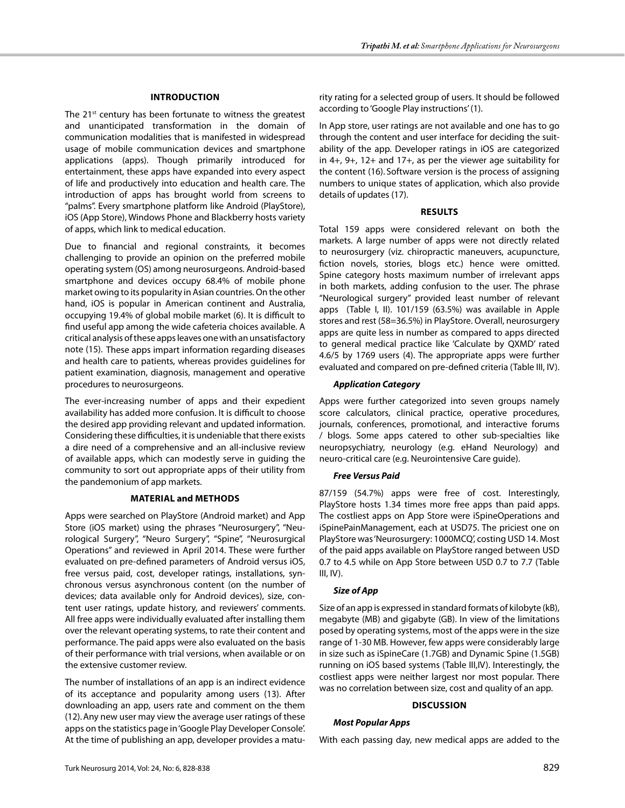## **Introductıon**

The 21<sup>st</sup> century has been fortunate to witness the greatest and unanticipated transformation in the domain of communication modalities that is manifested in widespread usage of mobile communication devices and smartphone applications (apps). Though primarily introduced for entertainment, these apps have expanded into every aspect of life and productively into education and health care. The introduction of apps has brought world from screens to "palms". Every smartphone platform like Android (PlayStore), iOS (App Store), Windows Phone and Blackberry hosts variety of apps, which link to medical education.

Due to financial and regional constraints, it becomes challenging to provide an opinion on the preferred mobile operating system (OS) among neurosurgeons. Android-based smartphone and devices occupy 68.4% of mobile phone market owing to its popularity in Asian countries. On the other hand, iOS is popular in American continent and Australia, occupying 19.4% of global mobile market (6). It is difficult to find useful app among the wide cafeteria choices available. A critical analysis of these apps leaves one with an unsatisfactory note (15). These apps impart information regarding diseases and health care to patients, whereas provides guidelines for patient examination, diagnosis, management and operative procedures to neurosurgeons.

The ever-increasing number of apps and their expedient availability has added more confusion. It is difficult to choose the desired app providing relevant and updated information. Considering these difficulties, it is undeniable that there exists a dire need of a comprehensive and an all-inclusive review of available apps, which can modestly serve in guiding the community to sort out appropriate apps of their utility from the pandemonium of app markets.

#### **Material and methods**

Apps were searched on PlayStore (Android market) and App Store (iOS market) using the phrases "Neurosurgery", "Neurological Surgery", "Neuro Surgery", "Spine", "Neurosurgical Operations" and reviewed in April 2014. These were further evaluated on pre-defined parameters of Android versus iOS, free versus paid, cost, developer ratings, installations, synchronous versus asynchronous content (on the number of devices; data available only for Android devices), size, content user ratings, update history, and reviewers' comments. All free apps were individually evaluated after installing them over the relevant operating systems, to rate their content and performance. The paid apps were also evaluated on the basis of their performance with trial versions, when available or on the extensive customer review.

The number of installations of an app is an indirect evidence of its acceptance and popularity among users (13). After downloading an app, users rate and comment on the them (12).Any new user may view the average user ratings of these apps on the statistics page in 'Google Play Developer Console'. At the time of publishing an app, developer provides a maturity rating for a selected group of users. It should be followed according to 'Google Play instructions' (1).

In App store, user ratings are not available and one has to go through the content and user interface for deciding the suitability of the app. Developer ratings in iOS are categorized in 4+, 9+, 12+ and 17+, as per the viewer age suitability for the content (16). Software version is the process of assigning numbers to unique states of application, which also provide details of updates (17).

## **Results**

Total 159 apps were considered relevant on both the markets. A large number of apps were not directly related to neurosurgery (viz. chiropractic maneuvers, acupuncture, fiction novels, stories, blogs etc.) hence were omitted. Spine category hosts maximum number of irrelevant apps in both markets, adding confusion to the user. The phrase "Neurological surgery" provided least number of relevant apps (Table I, II). 101/159 (63.5%) was available in Apple stores and rest (58=36.5%) in PlayStore. Overall, neurosurgery apps are quite less in number as compared to apps directed to general medical practice like 'Calculate by QXMD' rated 4.6/5 by 1769 users (4). The appropriate apps were further evaluated and compared on pre-defined criteria (Table III, IV).

## *Application Category*

Apps were further categorized into seven groups namely score calculators, clinical practice, operative procedures, journals, conferences, promotional, and interactive forums / blogs. Some apps catered to other sub-specialties like neuropsychiatry, neurology (e.g. eHand Neurology) and neuro-critical care (e.g. Neurointensive Care guide).

## *Free Versus Paid*

87/159 (54.7%) apps were free of cost. Interestingly, PlayStore hosts 1.34 times more free apps than paid apps. The costliest apps on App Store were iSpineOperations and iSpinePainManagement, each at USD75. The priciest one on PlayStore was 'Neurosurgery: 1000MCQ', costing USD 14. Most of the paid apps available on PlayStore ranged between USD 0.7 to 4.5 while on App Store between USD 0.7 to 7.7 (Table  $III, IV$ ).

## *Size of App*

Size of an app is expressed in standard formats of kilobyte (kB), megabyte (MB) and gigabyte (GB). In view of the limitations posed by operating systems, most of the apps were in the size range of 1-30 MB. However, few apps were considerably large in size such as iSpineCare (1.7GB) and Dynamic Spine (1.5GB) running on iOS based systems (Table III,IV). Interestingly, the costliest apps were neither largest nor most popular. There was no correlation between size, cost and quality of an app.

#### **Discussion**

#### *Most Popular Apps*

With each passing day, new medical apps are added to the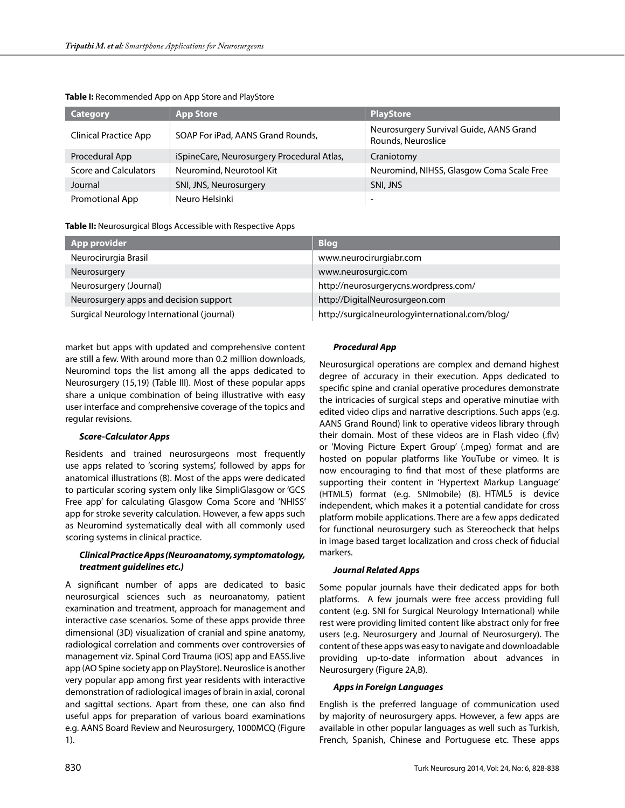| <b>Category</b>              | <b>App Store</b>                           | <b>PlayStore</b>                                              |
|------------------------------|--------------------------------------------|---------------------------------------------------------------|
| <b>Clinical Practice App</b> | SOAP For iPad, AANS Grand Rounds,          | Neurosurgery Survival Guide, AANS Grand<br>Rounds, Neuroslice |
| Procedural App               | iSpineCare, Neurosurgery Procedural Atlas, | Craniotomy                                                    |
| Score and Calculators        | Neuromind, Neurotool Kit                   | Neuromind, NIHSS, Glasgow Coma Scale Free                     |
| Journal                      | SNI, JNS, Neurosurgery                     | SNI, JNS                                                      |
| <b>Promotional App</b>       | Neuro Helsinki                             | $\overline{\phantom{0}}$                                      |

#### **Table I:** Recommended App on App Store and PlayStore

**Table II:** Neurosurgical Blogs Accessible with Respective Apps

| <b>App provider</b>                        | <b>Blog</b>                                     |
|--------------------------------------------|-------------------------------------------------|
| Neurocirurgia Brasil                       | www.neurocirurgiabr.com                         |
| Neurosurgery                               | www.neurosurgic.com                             |
| Neurosurgery (Journal)                     | http://neurosurgerycns.wordpress.com/           |
| Neurosurgery apps and decision support     | http://DigitalNeurosurgeon.com                  |
| Surgical Neurology International (journal) | http://surgicalneurologyinternational.com/blog/ |

market but apps with updated and comprehensive content are still a few. With around more than 0.2 million downloads, Neuromind tops the list among all the apps dedicated to Neurosurgery (15,19) (Table III). Most of these popular apps share a unique combination of being illustrative with easy user interface and comprehensive coverage of the topics and regular revisions.

#### *Score-Calculator Apps*

Residents and trained neurosurgeons most frequently use apps related to 'scoring systems', followed by apps for anatomical illustrations (8). Most of the apps were dedicated to particular scoring system only like SimpliGlasgow or 'GCS Free app' for calculating Glasgow Coma Score and 'NHISS' app for stroke severity calculation. However, a few apps such as Neuromind systematically deal with all commonly used scoring systems in clinical practice.

# *Clinical Practice Apps (Neuroanatomy, symptomatology, treatment guidelines etc.)*

A significant number of apps are dedicated to basic neurosurgical sciences such as neuroanatomy, patient examination and treatment, approach for management and interactive case scenarios. Some of these apps provide three dimensional (3D) visualization of cranial and spine anatomy, radiological correlation and comments over controversies of management viz. Spinal Cord Trauma (iOS) app and EASS.live app (AO Spine society app on PlayStore). Neuroslice is another very popular app among first year residents with interactive demonstration of radiological images of brain in axial, coronal and sagittal sections. Apart from these, one can also find useful apps for preparation of various board examinations e.g. AANS Board Review and Neurosurgery, 1000MCQ (Figure 1).

## *Procedural App*

Neurosurgical operations are complex and demand highest degree of accuracy in their execution. Apps dedicated to specific spine and cranial operative procedures demonstrate the intricacies of surgical steps and operative minutiae with edited video clips and narrative descriptions. Such apps (e.g. AANS Grand Round) link to operative videos library through their domain. Most of these videos are in Flash video (.flv) or 'Moving Picture Expert Group' (.mpeg) format and are hosted on popular platforms like YouTube or vimeo. It is now encouraging to find that most of these platforms are supporting their content in 'Hypertext Markup Language' (HTML5) format (e.g. SNImobile) (8). HTML5 is device independent, which makes it a potential candidate for cross platform mobile applications. There are a few apps dedicated for functional neurosurgery such as Stereocheck that helps in image based target localization and cross check of fiducial markers.

#### *Journal Related Apps*

Some popular journals have their dedicated apps for both platforms. A few journals were free access providing full content (e.g. SNI for Surgical Neurology International) while rest were providing limited content like abstract only for free users (e.g. Neurosurgery and Journal of Neurosurgery). The content of these apps was easy to navigate and downloadable providing up-to-date information about advances in Neurosurgery (Figure 2A,B).

#### *Apps in Foreign Languages*

English is the preferred language of communication used by majority of neurosurgery apps. However, a few apps are available in other popular languages as well such as Turkish, French, Spanish, Chinese and Portuguese etc. These apps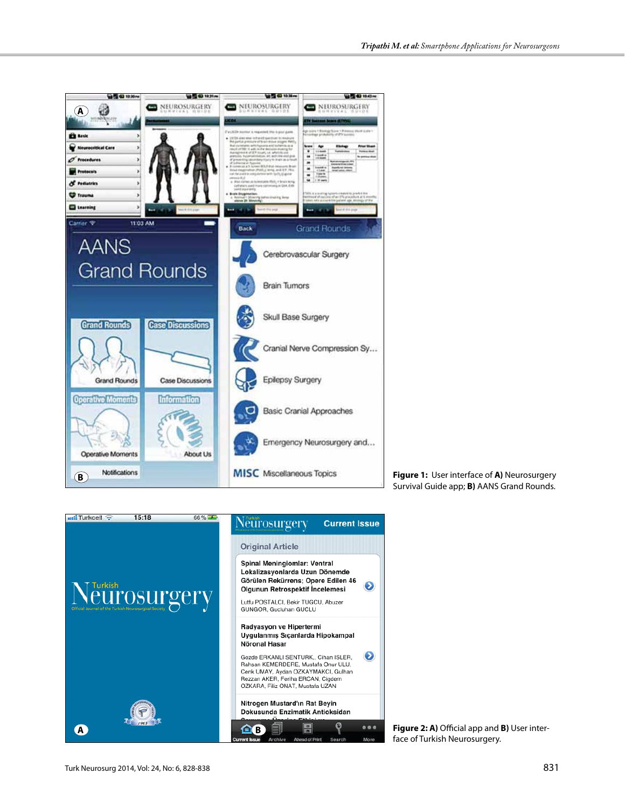

**Figure 1:** User interface of **A)** Neurosurgery Survival Guide app; **B)** AANS Grand Rounds.



**Figure 2: A)** Official app and **B)** User interface of Turkish Neurosurgery.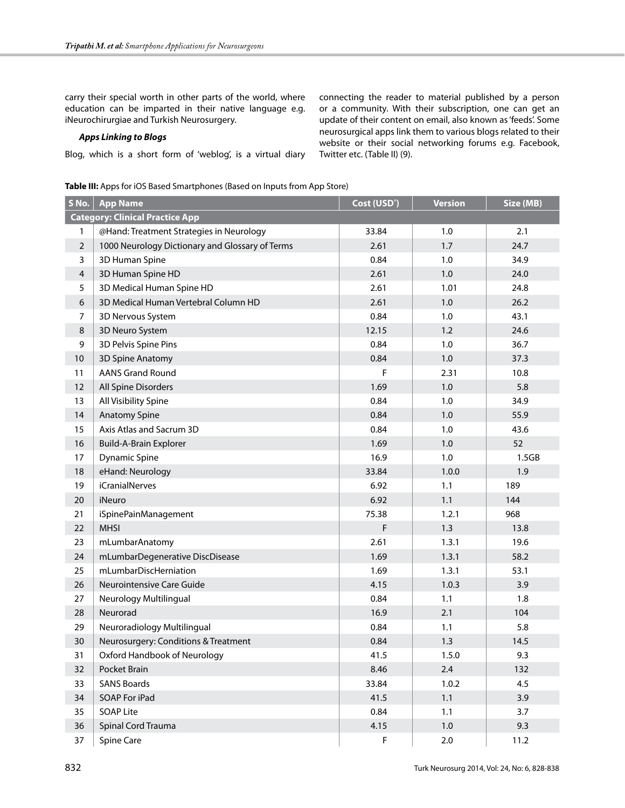carry their special worth in other parts of the world, where education can be imparted in their native language e.g. iNeurochirurgiae and Turkish Neurosurgery.

## *Apps Linking to Blogs*

Blog, which is a short form of 'weblog', is a virtual diary

connecting the reader to material published by a person or a community. With their subscription, one can get an update of their content on email, also known as 'feeds'. Some neurosurgical apps link them to various blogs related to their website or their social networking forums e.g. Facebook, Twitter etc. (Table II) (9).

**Table III:** Apps for iOS Based Smartphones (Based on Inputs from App Store)

| S No.                                  | <b>App Name</b>                                 | Cost (USD <sup>*</sup> ) | <b>Version</b> | Size (MB) |
|----------------------------------------|-------------------------------------------------|--------------------------|----------------|-----------|
| <b>Category: Clinical Practice App</b> |                                                 |                          |                |           |
| 1                                      | @Hand: Treatment Strategies in Neurology        | 33.84                    | 1.0            | 2.1       |
| $\sqrt{2}$                             | 1000 Neurology Dictionary and Glossary of Terms | 2.61                     | 1.7            | 24.7      |
| $\mathbf{3}$                           | 3D Human Spine                                  | 0.84                     | 1.0            | 34.9      |
| $\overline{4}$                         | 3D Human Spine HD                               | 2.61                     | 1.0            | 24.0      |
| 5                                      | 3D Medical Human Spine HD                       | 2.61                     | 1.01           | 24.8      |
| 6                                      | 3D Medical Human Vertebral Column HD            | 2.61                     | $1.0$          | 26.2      |
| $\boldsymbol{7}$                       | 3D Nervous System                               | 0.84                     | 1.0            | 43.1      |
| $\,8\,$                                | 3D Neuro System                                 | 12.15                    | 1.2            | 24.6      |
| 9                                      | 3D Pelvis Spine Pins                            | 0.84                     | 1.0            | 36.7      |
| 10                                     | 3D Spine Anatomy                                | 0.84                     | 1.0            | 37.3      |
| 11                                     | <b>AANS Grand Round</b>                         | F                        | 2.31           | 10.8      |
| 12                                     | All Spine Disorders                             | 1.69                     | $1.0\,$        | 5.8       |
| 13                                     | All Visibility Spine                            | 0.84                     | 1.0            | 34.9      |
| 14                                     | <b>Anatomy Spine</b>                            | 0.84                     | 1.0            | 55.9      |
| 15                                     | Axis Atlas and Sacrum 3D                        | 0.84                     | 1.0            | 43.6      |
| 16                                     | Build-A-Brain Explorer                          | 1.69                     | 1.0            | 52        |
| 17                                     | <b>Dynamic Spine</b>                            | 16.9                     | 1.0            | 1.5GB     |
| 18                                     | eHand: Neurology                                | 33.84                    | 1.0.0          | 1.9       |
| 19                                     | <i>iCranialNerves</i>                           | 6.92                     | 1.1            | 189       |
| 20                                     | iNeuro                                          | 6.92                     | 1.1            | 144       |
| 21                                     | iSpinePainManagement                            | 75.38                    | 1.2.1          | 968       |
| 22                                     | <b>MHSI</b>                                     | F                        | 1.3            | 13.8      |
| 23                                     | mLumbarAnatomy                                  | 2.61                     | 1.3.1          | 19.6      |
| 24                                     | mLumbarDegenerative DiscDisease                 | 1.69                     | 1.3.1          | 58.2      |
| 25                                     | mLumbarDiscHerniation                           | 1.69                     | 1.3.1          | 53.1      |
| 26                                     | Neurointensive Care Guide                       | 4.15                     | 1.0.3          | 3.9       |
| 27                                     | Neurology Multilingual                          | 0.84                     | 1.1            | 1.8       |
| 28                                     | Neurorad                                        | 16.9                     | 2.1            | 104       |
| 29                                     | Neuroradiology Multilingual                     | 0.84                     | 1.1            | 5.8       |
| 30                                     | Neurosurgery: Conditions & Treatment            | 0.84                     | 1.3            | 14.5      |
| 31                                     | Oxford Handbook of Neurology                    | 41.5                     | 1.5.0          | 9.3       |
| 32                                     | Pocket Brain                                    | 8.46                     | 2.4            | 132       |
| 33                                     | <b>SANS Boards</b>                              | 33.84                    | 1.0.2          | 4.5       |
| 34                                     | SOAP For iPad                                   | 41.5                     | $1.1$          | 3.9       |
| 35                                     | <b>SOAP Lite</b>                                | 0.84                     | 1.1            | 3.7       |
| 36                                     | Spinal Cord Trauma                              | 4.15                     | $1.0\,$        | 9.3       |
| 37                                     | Spine Care                                      | F                        | $2.0\,$        | 11.2      |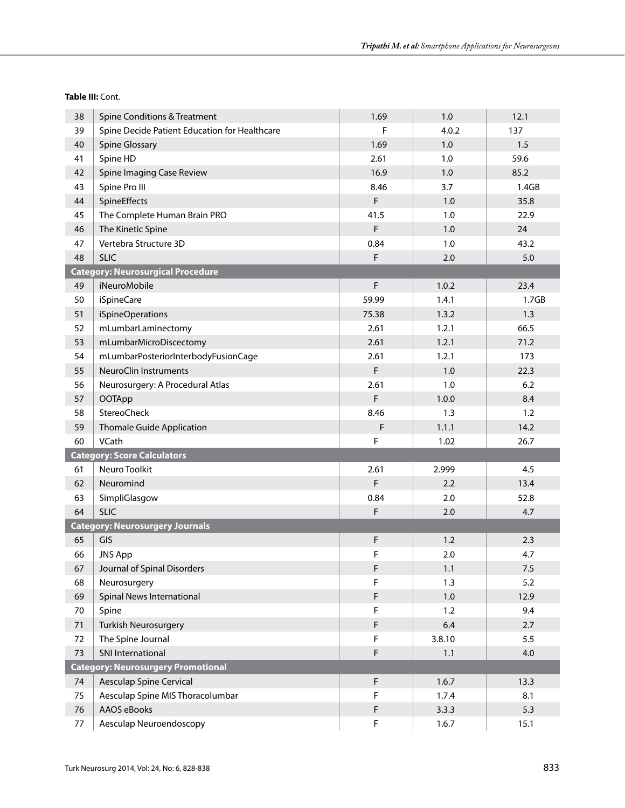| 38                                        | <b>Spine Conditions &amp; Treatment</b>       | 1.69        | 1.0    | 12.1              |  |
|-------------------------------------------|-----------------------------------------------|-------------|--------|-------------------|--|
| 39                                        | Spine Decide Patient Education for Healthcare | F           | 4.0.2  | 137               |  |
| 40                                        | <b>Spine Glossary</b>                         | 1.69        | 1.0    | 1.5               |  |
| 41                                        | Spine HD                                      | 2.61        | 1.0    | 59.6              |  |
| 42                                        | Spine Imaging Case Review                     | 16.9        | 1.0    | 85.2              |  |
| 43                                        | Spine Pro III                                 | 8.46        | 3.7    | 1.4GB             |  |
| 44                                        | SpineEffects                                  | F.          | 1.0    | 35.8              |  |
| 45                                        | The Complete Human Brain PRO                  | 41.5        | 1.0    | 22.9              |  |
| 46                                        | The Kinetic Spine                             | F           | 1.0    | 24                |  |
| 47                                        | Vertebra Structure 3D                         | 0.84        | 1.0    | 43.2              |  |
| 48                                        | <b>SLIC</b>                                   | F           | 2.0    | 5.0               |  |
|                                           | <b>Category: Neurosurgical Procedure</b>      |             |        |                   |  |
| 49                                        | iNeuroMobile                                  | F           | 1.0.2  | 23.4              |  |
| 50                                        | <i>iSpineCare</i>                             | 59.99       | 1.4.1  | 1.7 <sub>GB</sub> |  |
| 51                                        | iSpineOperations                              | 75.38       | 1.3.2  | 1.3               |  |
| 52                                        | mLumbarLaminectomy                            | 2.61        | 1.2.1  | 66.5              |  |
| 53                                        | mLumbarMicroDiscectomy                        | 2.61        | 1.2.1  | 71.2              |  |
| 54                                        | mLumbarPosteriorInterbodyFusionCage           | 2.61        | 1.2.1  | 173               |  |
| 55                                        | NeuroClin Instruments                         | F           | 1.0    | 22.3              |  |
| 56                                        | Neurosurgery: A Procedural Atlas              | 2.61        | 1.0    | 6.2               |  |
| 57                                        | <b>OOTApp</b>                                 | F           | 1.0.0  | 8.4               |  |
| 58                                        | StereoCheck                                   | 8.46        | 1.3    | 1.2               |  |
| 59                                        | <b>Thomale Guide Application</b>              | $\mathsf F$ | 1.1.1  | 14.2              |  |
| 60                                        | VCath                                         | F           | 1.02   | 26.7              |  |
|                                           | <b>Category: Score Calculators</b>            |             |        |                   |  |
| 61                                        | Neuro Toolkit                                 | 2.61        | 2.999  | 4.5               |  |
| 62                                        | Neuromind                                     | F           | 2.2    | 13.4              |  |
| 63                                        | SimpliGlasgow                                 | 0.84        | 2.0    | 52.8              |  |
| 64                                        | <b>SLIC</b>                                   | F           | 2.0    | 4.7               |  |
|                                           | <b>Category: Neurosurgery Journals</b>        |             |        |                   |  |
| 65                                        | GIS                                           | F           | 1.2    | 2.3               |  |
| 66                                        | <b>JNS App</b>                                | F           | 2.0    | 4.7               |  |
| 67                                        | Journal of Spinal Disorders                   | F           | 1.1    | 7.5               |  |
| 68                                        | Neurosurgery                                  | F           | 1.3    | 5.2               |  |
| 69                                        | Spinal News International                     | F           | $1.0$  | 12.9              |  |
| 70                                        | Spine                                         | F           | 1.2    | 9.4               |  |
| 71                                        | <b>Turkish Neurosurgery</b>                   | F           | 6.4    | 2.7               |  |
| 72                                        | The Spine Journal                             | F           | 3.8.10 | 5.5               |  |
| 73                                        | <b>SNI International</b>                      | F           | 1.1    | 4.0               |  |
| <b>Category: Neurosurgery Promotional</b> |                                               |             |        |                   |  |
| 74                                        | <b>Aesculap Spine Cervical</b>                | F           | 1.6.7  | 13.3              |  |
| 75                                        | Aesculap Spine MIS Thoracolumbar              | F           | 1.7.4  | 8.1               |  |
| 76                                        | AAOS eBooks                                   | F           | 3.3.3  | 5.3               |  |
| 77                                        | Aesculap Neuroendoscopy                       | F           | 1.6.7  | 15.1              |  |

**Table III:** Cont.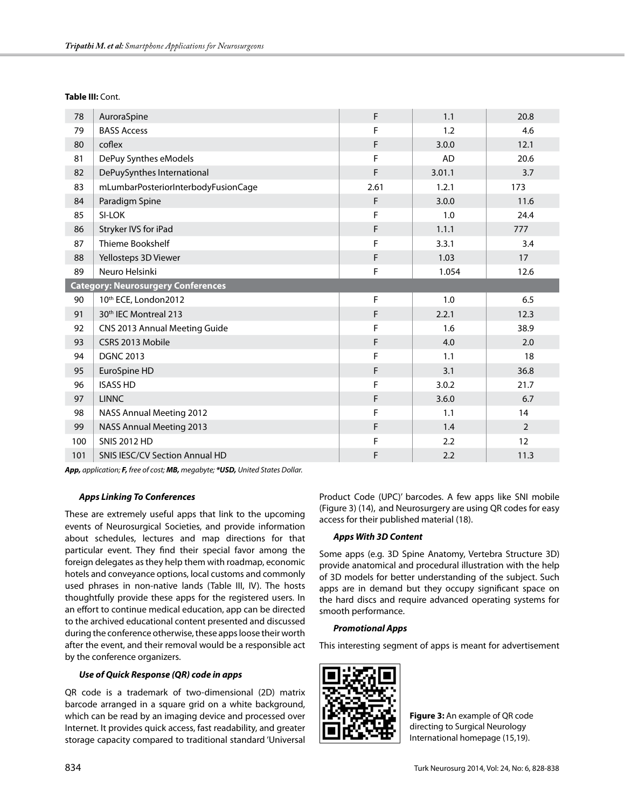**Table III:** Cont.

| 78  | AuroraSpine                               | F    | 1.1       | 20.8           |  |
|-----|-------------------------------------------|------|-----------|----------------|--|
| 79  | <b>BASS Access</b>                        | F    | 1.2       | 4.6            |  |
| 80  | coflex                                    | F    | 3.0.0     | 12.1           |  |
| 81  | DePuy Synthes eModels                     | F    | <b>AD</b> | 20.6           |  |
| 82  | DePuySynthes International                | F    | 3.01.1    | 3.7            |  |
| 83  | mLumbarPosteriorInterbodyFusionCage       | 2.61 | 1.2.1     | 173            |  |
| 84  | Paradigm Spine                            | F    | 3.0.0     | 11.6           |  |
| 85  | SI-LOK                                    | F    | 1.0       | 24.4           |  |
| 86  | Stryker IVS for iPad                      | F    | 1.1.1     | 777            |  |
| 87  | Thieme Bookshelf                          | F    | 3.3.1     | 3.4            |  |
| 88  | Yellosteps 3D Viewer                      | F    | 1.03      | 17             |  |
| 89  | Neuro Helsinki                            | F    | 1.054     | 12.6           |  |
|     | <b>Category: Neurosurgery Conferences</b> |      |           |                |  |
| 90  | 10th ECE, London2012                      | F    | 1.0       | 6.5            |  |
| 91  | 30th IEC Montreal 213                     | F    | 2.2.1     | 12.3           |  |
| 92  | CNS 2013 Annual Meeting Guide             | F    | 1.6       | 38.9           |  |
| 93  | CSRS 2013 Mobile                          | F    | 4.0       | 2.0            |  |
| 94  | <b>DGNC 2013</b>                          | F    | 1.1       | 18             |  |
| 95  | EuroSpine HD                              | F    | 3.1       | 36.8           |  |
| 96  | <b>ISASS HD</b>                           | F    | 3.0.2     | 21.7           |  |
| 97  | <b>LINNC</b>                              | F    | 3.6.0     | 6.7            |  |
| 98  | NASS Annual Meeting 2012                  | F    | 1.1       | 14             |  |
| 99  | <b>NASS Annual Meeting 2013</b>           | F    | 1.4       | $\overline{2}$ |  |
| 100 | <b>SNIS 2012 HD</b>                       | F    | 2.2       | 12             |  |
| 101 | <b>SNIS IESC/CV Section Annual HD</b>     | F    | 2.2       | 11.3           |  |

*App, application; F, free of cost; MB, megabyte; \*USD, United States Dollar.*

#### *Apps Linking To Conferences*

These are extremely useful apps that link to the upcoming events of Neurosurgical Societies, and provide information about schedules, lectures and map directions for that particular event. They find their special favor among the foreign delegates as they help them with roadmap, economic hotels and conveyance options, local customs and commonly used phrases in non-native lands (Table III, IV). The hosts thoughtfully provide these apps for the registered users. In an effort to continue medical education, app can be directed to the archived educational content presented and discussed during the conference otherwise, these apps loose their worth after the event, and their removal would be a responsible act by the conference organizers.

#### *Use of Quick Response (QR) code in apps*

QR code is a trademark of two-dimensional (2D) matrix barcode arranged in a square grid on a white background, which can be read by an imaging device and processed over Internet. It provides quick access, fast readability, and greater storage capacity compared to traditional standard 'Universal

Product Code (UPC)' barcodes. A few apps like SNI mobile (Figure 3) (14), and Neurosurgery are using QR codes for easy access for their published material (18).

#### *Apps With 3D Content*

Some apps (e.g. 3D Spine Anatomy, Vertebra Structure 3D) provide anatomical and procedural illustration with the help of 3D models for better understanding of the subject. Such apps are in demand but they occupy significant space on the hard discs and require advanced operating systems for smooth performance.

## *Promotional Apps*

This interesting segment of apps is meant for advertisement



**Figure 3:** An example of QR code directing to Surgical Neurology International homepage (15,19).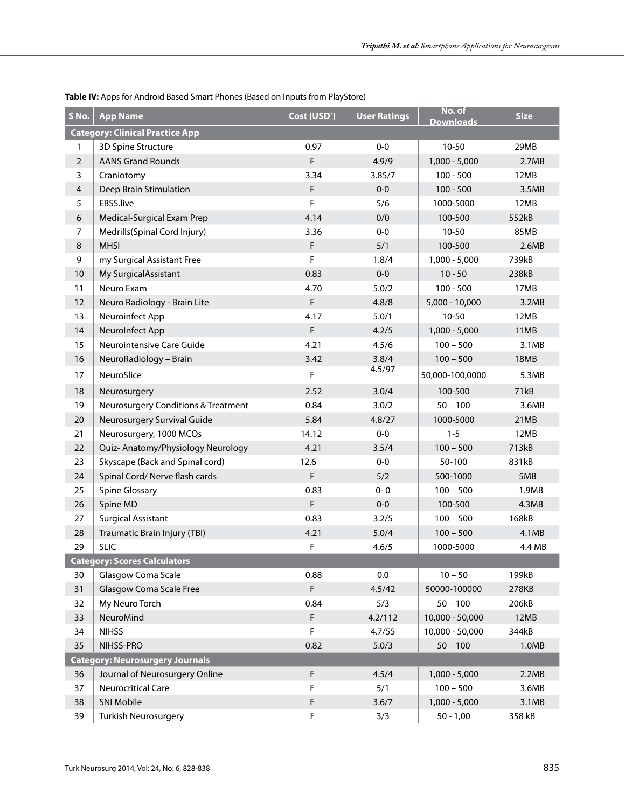| S No.                                  | <b>App Name</b>                        | Cost (USD <sup>*</sup> ) | <b>User Ratings</b> | No. of<br><b>Downloads</b> | <b>Size</b> |
|----------------------------------------|----------------------------------------|--------------------------|---------------------|----------------------------|-------------|
|                                        | <b>Category: Clinical Practice App</b> |                          |                     |                            |             |
| 1                                      | 3D Spine Structure                     | 0.97                     | $0-0$               | $10 - 50$                  | 29MB        |
| $\overline{2}$                         | <b>AANS Grand Rounds</b>               | F                        | 4.9/9               | $1,000 - 5,000$            | 2.7MB       |
| 3                                      | Craniotomy                             | 3.34                     | 3.85/7              | $100 - 500$                | 12MB        |
| $\overline{4}$                         | Deep Brain Stimulation                 | F                        | $0-0$               | $100 - 500$                | 3.5MB       |
| 5                                      | EBSS.live                              | F                        | 5/6                 | 1000-5000                  | 12MB        |
| 6                                      | Medical-Surgical Exam Prep             | 4.14                     | 0/0                 | 100-500                    | 552kB       |
| $\overline{7}$                         | Medrills(Spinal Cord Injury)           | 3.36                     | $0-0$               | $10 - 50$                  | 85MB        |
| $\,8\,$                                | <b>MHSI</b>                            | F                        | 5/1                 | 100-500                    | 2.6MB       |
| 9                                      | my Surgical Assistant Free             | F                        | 1.8/4               | $1,000 - 5,000$            | 739kB       |
| 10                                     | My SurgicalAssistant                   | 0.83                     | $0-0$               | $10 - 50$                  | 238kB       |
| 11                                     | Neuro Exam                             | 4.70                     | 5.0/2               | $100 - 500$                | 17MB        |
| 12                                     | Neuro Radiology - Brain Lite           | F                        | 4.8/8               | 5,000 - 10,000             | 3.2MB       |
| 13                                     | Neuroinfect App                        | 4.17                     | 5.0/1               | $10 - 50$                  | 12MB        |
| 14                                     | NeuroInfect App                        | F                        | 4.2/5               | $1,000 - 5,000$            | 11MB        |
| 15                                     | Neurointensive Care Guide              | 4.21                     | 4.5/6               | $100 - 500$                | 3.1MB       |
| 16                                     | NeuroRadiology - Brain                 | 3.42                     | 3.8/4               | $100 - 500$                | 18MB        |
| 17                                     | NeuroSlice                             | F                        | 4.5/97              | 50,000-100,0000            | 5.3MB       |
| 18                                     | Neurosurgery                           | 2.52                     | 3.0/4               | 100-500                    | 71kB        |
| 19                                     | Neurosurgery Conditions & Treatment    | 0.84                     | 3.0/2               | $50 - 100$                 | 3.6MB       |
| 20                                     | Neurosurgery Survival Guide            | 5.84                     | 4.8/27              | 1000-5000                  | 21MB        |
| 21                                     | Neurosurgery, 1000 MCQs                | 14.12                    | $0-0$               | $1 - 5$                    | 12MB        |
| 22                                     | Quiz- Anatomy/Physiology Neurology     | 4.21                     | 3.5/4               | $100 - 500$                | 713kB       |
| 23                                     | Skyscape (Back and Spinal cord)        | 12.6                     | $0-0$               | 50-100                     | 831kB       |
| 24                                     | Spinal Cord/ Nerve flash cards         | F                        | 5/2                 | 500-1000                   | 5MB         |
| 25                                     | Spine Glossary                         | 0.83                     | $0 - 0$             | $100 - 500$                | 1.9MB       |
| 26                                     | Spine MD                               | F                        | $0-0$               | 100-500                    | 4.3MB       |
| 27                                     | <b>Surgical Assistant</b>              | 0.83                     | 3.2/5               | $100 - 500$                | 168kB       |
| 28                                     | Traumatic Brain Injury (TBI)           | 4.21                     | 5.0/4               | $100 - 500$                | 4.1MB       |
| 29                                     | <b>SLIC</b>                            | F                        | 4.6/5               | 1000-5000                  | 4.4 MB      |
|                                        | <b>Category: Scores Calculators</b>    |                          |                     |                            |             |
| 30                                     | Glasgow Coma Scale                     | 0.88                     | 0.0                 | $10 - 50$                  | 199kB       |
| 31                                     | Glasgow Coma Scale Free                | F                        | 4.5/42              | 50000-100000               | 278KB       |
| 32                                     | My Neuro Torch                         | 0.84                     | 5/3                 | $50 - 100$                 | 206kB       |
| 33                                     | NeuroMind                              | F                        | 4.2/112             | 10,000 - 50,000            | 12MB        |
| 34                                     | <b>NIHSS</b>                           | F                        | 4.7/55              | 10,000 - 50,000            | 344kB       |
| 35                                     | NIHSS-PRO                              | 0.82                     | 5.0/3               | $50 - 100$                 | 1.0MB       |
| <b>Category: Neurosurgery Journals</b> |                                        |                          |                     |                            |             |
| 36                                     | Journal of Neurosurgery Online         | F                        | 4.5/4               | $1,000 - 5,000$            | 2.2MB       |
| 37                                     | Neurocritical Care                     | F                        | 5/1                 | $100 - 500$                | 3.6MB       |
| 38                                     | SNI Mobile                             | F                        | 3.6/7               | $1,000 - 5,000$            | 3.1MB       |
| 39                                     | <b>Turkish Neurosurgery</b>            | F                        | 3/3                 | $50 - 1,00$                | 358 kB      |

**Table IV:** Apps for Android Based Smart Phones (Based on Inputs from PlayStore)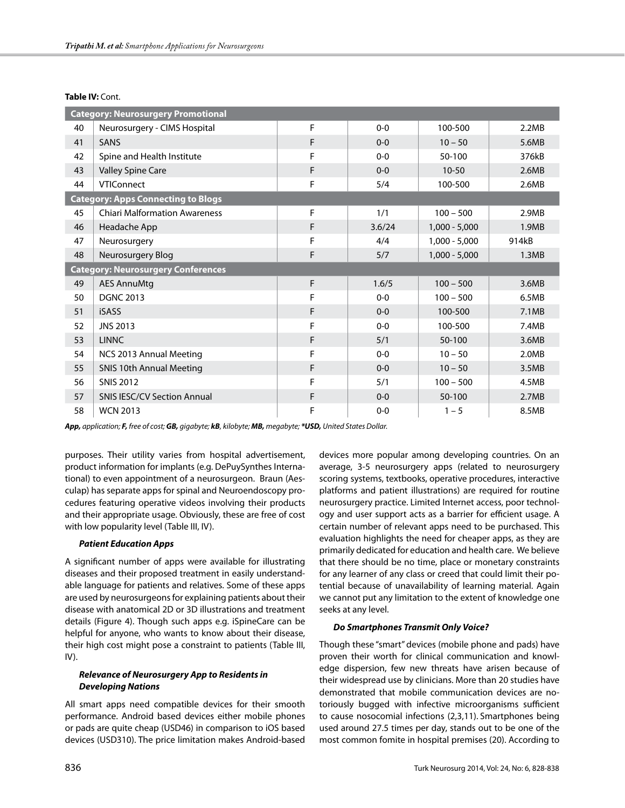#### Table IV: Cont.

| <b>Category: Neurosurgery Promotional</b> |                                           |   |         |                 |       |
|-------------------------------------------|-------------------------------------------|---|---------|-----------------|-------|
| 40                                        | Neurosurgery - CIMS Hospital              | F | $0 - 0$ | 100-500         | 2.2MB |
| 41                                        | <b>SANS</b>                               | F | $0 - 0$ | $10 - 50$       | 5.6MB |
| 42                                        | Spine and Health Institute                | F | $0 - 0$ | 50-100          | 376kB |
| 43                                        | Valley Spine Care                         | F | $0 - 0$ | $10 - 50$       | 2.6MB |
| 44                                        | <b>VTIConnect</b>                         | F | 5/4     | 100-500         | 2.6MB |
|                                           | <b>Category: Apps Connecting to Blogs</b> |   |         |                 |       |
| 45                                        | <b>Chiari Malformation Awareness</b>      | F | 1/1     | $100 - 500$     | 2.9MB |
| 46                                        | Headache App                              | F | 3.6/24  | $1,000 - 5,000$ | 1.9MB |
| 47                                        | Neurosurgery                              | F | 4/4     | $1,000 - 5,000$ | 914kB |
| 48                                        | Neurosurgery Blog                         | F | 5/7     | $1,000 - 5,000$ | 1.3MB |
|                                           | <b>Category: Neurosurgery Conferences</b> |   |         |                 |       |
| 49                                        | <b>AES AnnuMtg</b>                        | F | 1.6/5   | $100 - 500$     | 3.6MB |
| 50                                        | <b>DGNC 2013</b>                          | F | $0 - 0$ | $100 - 500$     | 6.5MB |
| 51                                        | <b>iSASS</b>                              | F | $0 - 0$ | 100-500         | 7.1MB |
| 52                                        | <b>JNS 2013</b>                           | F | $0 - 0$ | 100-500         | 7.4MB |
| 53                                        | <b>LINNC</b>                              | F | 5/1     | 50-100          | 3.6MB |
| 54                                        | NCS 2013 Annual Meeting                   | F | $0 - 0$ | $10 - 50$       | 2.0MB |
| 55                                        | <b>SNIS 10th Annual Meeting</b>           | F | $0 - 0$ | $10 - 50$       | 3.5MB |
| 56                                        | <b>SNIS 2012</b>                          | F | 5/1     | $100 - 500$     | 4.5MB |
| 57                                        | <b>SNIS IESC/CV Section Annual</b>        | F | $0 - 0$ | 50-100          | 2.7MB |
| 58                                        | <b>WCN 2013</b>                           | F | $0 - 0$ | $1 - 5$         | 8.5MB |

*App, application; F, free of cost; GB, gigabyte; kB, kilobyte; MB, megabyte; \*USD, United States Dollar.*

purposes. Their utility varies from hospital advertisement, product information for implants (e.g. DePuySynthes International) to even appointment of a neurosurgeon. Braun (Aesculap) has separate apps for spinal and Neuroendoscopy procedures featuring operative videos involving their products and their appropriate usage. Obviously, these are free of cost with low popularity level (Table III, IV).

## *Patient Education Apps*

A significant number of apps were available for illustrating diseases and their proposed treatment in easily understandable language for patients and relatives. Some of these apps are used by neurosurgeons for explaining patients about their disease with anatomical 2D or 3D illustrations and treatment details (Figure 4). Though such apps e.g. iSpineCare can be helpful for anyone, who wants to know about their disease, their high cost might pose a constraint to patients (Table III,  $IV$ ).

## *Relevance of Neurosurgery App to Residents in Developing Nations*

All smart apps need compatible devices for their smooth performance. Android based devices either mobile phones or pads are quite cheap (USD46) in comparison to iOS based devices (USD310). The price limitation makes Android-based

devices more popular among developing countries. On an average, 3-5 neurosurgery apps (related to neurosurgery scoring systems, textbooks, operative procedures, interactive platforms and patient illustrations) are required for routine neurosurgery practice. Limited Internet access, poor technology and user support acts as a barrier for efficient usage. A certain number of relevant apps need to be purchased. This evaluation highlights the need for cheaper apps, as they are primarily dedicated for education and health care. We believe that there should be no time, place or monetary constraints for any learner of any class or creed that could limit their potential because of unavailability of learning material. Again we cannot put any limitation to the extent of knowledge one seeks at any level.

## *Do Smartphones Transmit Only Voice?*

Though these "smart" devices (mobile phone and pads) have proven their worth for clinical communication and knowledge dispersion, few new threats have arisen because of their widespread use by clinicians. More than 20 studies have demonstrated that mobile communication devices are notoriously bugged with infective microorganisms sufficient to cause nosocomial infections (2,3,11). Smartphones being used around 27.5 times per day, stands out to be one of the most common fomite in hospital premises (20). According to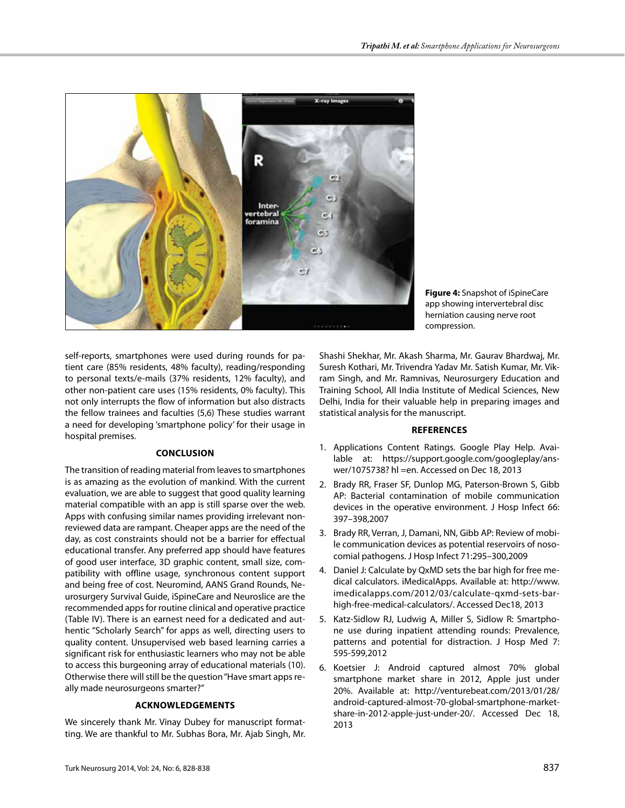

**Figure 4:** Snapshot of iSpineCare app showing intervertebral disc herniation causing nerve root compression.

self-reports, smartphones were used during rounds for patient care (85% residents, 48% faculty), reading/responding to personal texts/e-mails (37% residents, 12% faculty), and other non-patient care uses (15% residents, 0% faculty). This not only interrupts the flow of information but also distracts the fellow trainees and faculties (5,6) These studies warrant a need for developing 'smartphone policy' for their usage in hospital premises.

## **Conclusıon**

The transition of reading material from leaves to smartphones is as amazing as the evolution of mankind. With the current evaluation, we are able to suggest that good quality learning material compatible with an app is still sparse over the web. Apps with confusing similar names providing irrelevant nonreviewed data are rampant. Cheaper apps are the need of the day, as cost constraints should not be a barrier for effectual educational transfer. Any preferred app should have features of good user interface, 3D graphic content, small size, compatibility with offline usage, synchronous content support and being free of cost. Neuromind, AANS Grand Rounds, Neurosurgery Survival Guide, iSpineCare and Neuroslice are the recommended apps for routine clinical and operative practice (Table IV). There is an earnest need for a dedicated and authentic "Scholarly Search" for apps as well, directing users to quality content. Unsupervised web based learning carries a significant risk for enthusiastic learners who may not be able to access this burgeoning array of educational materials (10). Otherwise there will still be the question "Have smart apps really made neurosurgeons smarter?"

## **Acknowledgements**

We sincerely thank Mr. Vinay Dubey for manuscript formatting. We are thankful to Mr. Subhas Bora, Mr. Ajab Singh, Mr. Shashi Shekhar, Mr. Akash Sharma, Mr. Gaurav Bhardwaj, Mr. Suresh Kothari, Mr. Trivendra Yadav Mr. Satish Kumar, Mr. Vikram Singh, and Mr. Ramnivas, Neurosurgery Education and Training School, All India Institute of Medical Sciences, New Delhi, India for their valuable help in preparing images and statistical analysis for the manuscript.

## **References**

- 1. Applications Content Ratings. Google Play Help. Available at: https://support.google.com/googleplay/answer/1075738? hl =en. Accessed on Dec 18, 2013
- 2. Brady RR, Fraser SF, Dunlop MG, Paterson-Brown S, Gibb AP: Bacterial contamination of mobile communication devices in the operative environment. J Hosp Infect 66: 397–398,2007
- 3. Brady RR, Verran, J, Damani, NN, Gibb AP: Review of mobile communication devices as potential reservoirs of nosocomial pathogens. J Hosp Infect 71:295–300,2009
- 4. Daniel J: Calculate by QxMD sets the bar high for free medical calculators. iMedicalApps. Available at: http://www. imedicalapps.com/2012/03/calculate-qxmd-sets-barhigh-free-medical-calculators/. Accessed Dec18, 2013
- 5. Katz-Sidlow RJ, Ludwig A, Miller S, Sidlow R: Smartphone use during inpatient attending rounds: Prevalence, patterns and potential for distraction. J Hosp Med 7: 595-599,2012
- 6. Koetsier J: Android captured almost 70% global smartphone market share in 2012, Apple just under 20%. Available at: http://venturebeat.com/2013/01/28/ android-captured-almost-70-global-smartphone-marketshare-in-2012-apple-just-under-20/. Accessed Dec 18, 2013